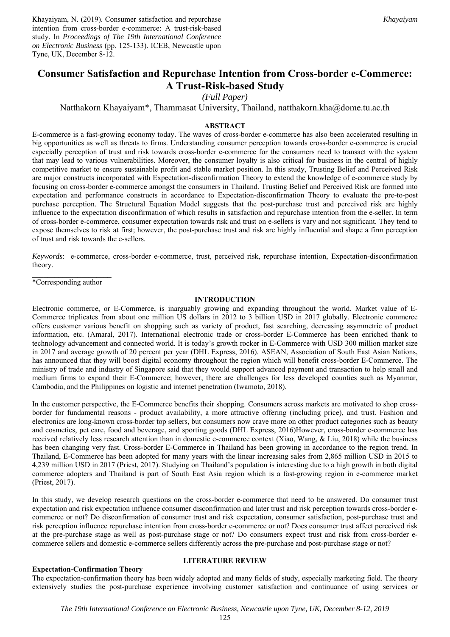Khayaiyam, N. (2019). Consumer satisfaction and repurchase intention from cross-border e-commerce: A trust-risk-based study. In *Proceedings of The 19th International Conference on Electronic Business* (pp. 125-133). ICEB, Newcastle upon Tyne, UK, December 8-12.

# **Consumer Satisfaction and Repurchase Intention from Cross-border e-Commerce: A Trust-Risk-based Study**

*(Full Paper)* 

Natthakorn Khayaiyam\*, Thammasat University, Thailand, natthakorn.kha@dome.tu.ac.th

## **ABSTRACT**

E-commerce is a fast-growing economy today. The waves of cross-border e-commerce has also been accelerated resulting in big opportunities as well as threats to firms. Understanding consumer perception towards cross-border e-commerce is crucial especially perception of trust and risk towards cross-border e-commerce for the consumers need to transact with the system that may lead to various vulnerabilities. Moreover, the consumer loyalty is also critical for business in the central of highly competitive market to ensure sustainable profit and stable market position. In this study, Trusting Belief and Perceived Risk are major constructs incorporated with Expectation-disconfirmation Theory to extend the knowledge of e-commerce study by focusing on cross-border e-commerce amongst the consumers in Thailand. Trusting Belief and Perceived Risk are formed into expectation and performance constructs in accordance to Expectation-disconfirmation Theory to evaluate the pre-to-post purchase perception. The Structural Equation Model suggests that the post-purchase trust and perceived risk are highly influence to the expectation disconfirmation of which results in satisfaction and repurchase intention from the e-seller. In term of cross-border e-commerce, consumer expectation towards risk and trust on e-sellers is vary and not significant. They tend to expose themselves to risk at first; however, the post-purchase trust and risk are highly influential and shape a firm perception of trust and risk towards the e-sellers.

*Keywords*: e-commerce, cross-border e-commerce, trust, perceived risk, repurchase intention, Expectation-disconfirmation theory.

\*Corresponding author

#### **INTRODUCTION**

Electronic commerce, or E-Commerce, is inarguably growing and expanding throughout the world. Market value of E-Commerce triplicates from about one million US dollars in 2012 to 3 billion USD in 2017 globally. Electronic commerce offers customer various benefit on shopping such as variety of product, fast searching, decreasing asymmetric of product information, etc. (Amaral, 2017). International electronic trade or cross-border E-Commerce has been enriched thank to technology advancement and connected world. It is today's growth rocker in E-Commerce with USD 300 million market size in 2017 and average growth of 20 percent per year (DHL Express, 2016). ASEAN, Association of South East Asian Nations, has announced that they will boost digital economy throughout the region which will benefit cross-border E-Commerce. The ministry of trade and industry of Singapore said that they would support advanced payment and transaction to help small and medium firms to expand their E-Commerce; however, there are challenges for less developed counties such as Myanmar, Cambodia, and the Philippines on logistic and internet penetration (Iwamoto, 2018).

In the customer perspective, the E-Commerce benefits their shopping. Consumers across markets are motivated to shop crossborder for fundamental reasons - product availability, a more attractive offering (including price), and trust. Fashion and electronics are long-known cross-border top sellers, but consumers now crave more on other product categories such as beauty and cosmetics, pet care, food and beverage, and sporting goods (DHL Express, 2016)However, cross-border e-commerce has received relatively less research attention than in domestic e-commerce context (Xiao, Wang, & Liu, 2018) while the business has been changing very fast. Cross-border E-Commerce in Thailand has been growing in accordance to the region trend. In Thailand, E-Commerce has been adopted for many years with the linear increasing sales from 2,865 million USD in 2015 to 4,239 million USD in 2017 (Priest, 2017). Studying on Thailand's population is interesting due to a high growth in both digital commerce adopters and Thailand is part of South East Asia region which is a fast-growing region in e-commerce market (Priest, 2017).

In this study, we develop research questions on the cross-border e-commerce that need to be answered. Do consumer trust expectation and risk expectation influence consumer disconfirmation and later trust and risk perception towards cross-border ecommerce or not? Do disconfirmation of consumer trust and risk expectation, consumer satisfaction, post-purchase trust and risk perception influence repurchase intention from cross-border e-commerce or not? Does consumer trust affect perceived risk at the pre-purchase stage as well as post-purchase stage or not? Do consumers expect trust and risk from cross-border ecommerce sellers and domestic e-commerce sellers differently across the pre-purchase and post-purchase stage or not?

#### **Expectation-Confirmation Theory**

## **LITERATURE REVIEW**

The expectation-confirmation theory has been widely adopted and many fields of study, especially marketing field. The theory extensively studies the post-purchase experience involving customer satisfaction and continuance of using services or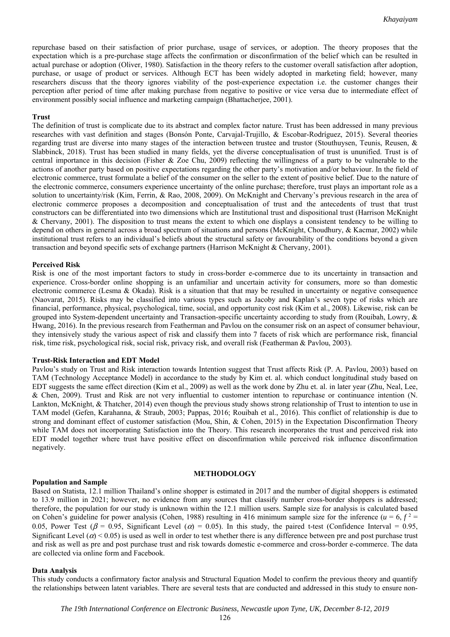repurchase based on their satisfaction of prior purchase, usage of services, or adoption. The theory proposes that the expectation which is a pre-purchase stage affects the confirmation or disconfirmation of the belief which can be resulted in actual purchase or adoption (Oliver, 1980). Satisfaction in the theory refers to the customer overall satisfaction after adoption, purchase, or usage of product or services. Although ECT has been widely adopted in marketing field; however, many researchers discuss that the theory ignores viability of the post-experience expectation i.e. the customer changes their perception after period of time after making purchase from negative to positive or vice versa due to intermediate effect of environment possibly social influence and marketing campaign (Bhattacherjee, 2001).

#### **Trust**

The definition of trust is complicate due to its abstract and complex factor nature. Trust has been addressed in many previous researches with vast definition and stages (Bonsón Ponte, Carvajal-Trujillo, & Escobar-Rodríguez, 2015). Several theories regarding trust are diverse into many stages of the interaction between trustee and trustor (Stouthuysen, Teunis, Reusen, & Slabbinck, 2018). Trust has been studied in many fields, yet the diverse conceptualisation of trust is ununified. Trust is of central importance in this decision (Fisher & Zoe Chu, 2009) reflecting the willingness of a party to be vulnerable to the actions of another party based on positive expectations regarding the other party's motivation and/or behaviour. In the field of electronic commerce, trust formulate a belief of the consumer on the seller to the extent of positive belief. Due to the nature of the electronic commerce, consumers experience uncertainty of the online purchase; therefore, trust plays an important role as a solution to uncertainty/risk (Kim, Ferrin, & Rao, 2008, 2009). On McKnight and Chervany's previous research in the area of electronic commerce proposes a decomposition and conceptualisation of trust and the antecedents of trust that trust constructors can be differentiated into two dimensions which are Institutional trust and dispositional trust (Harrison McKnight & Chervany, 2001). The disposition to trust means the extent to which one displays a consistent tendency to be willing to depend on others in general across a broad spectrum of situations and persons (McKnight, Choudhury, & Kacmar, 2002) while institutional trust refers to an individual's beliefs about the structural safety or favourability of the conditions beyond a given transaction and beyond specific sets of exchange partners (Harrison McKnight & Chervany, 2001).

#### **Perceived Risk**

Risk is one of the most important factors to study in cross-border e-commerce due to its uncertainty in transaction and experience. Cross-border online shopping is an unfamiliar and uncertain activity for consumers, more so than domestic electronic commerce (Lesma & Okada). Risk is a situation that that may be resulted in uncertainty or negative consequence (Naovarat, 2015). Risks may be classified into various types such as Jacoby and Kaplan's seven type of risks which are financial, performance, physical, psychological, time, social, and opportunity cost risk (Kim et al., 2008). Likewise, risk can be grouped into System-dependent uncertainty and Transaction-specific uncertainty according to study from (Rouibah, Lowry, & Hwang, 2016). In the previous research from Featherman and Pavlou on the consumer risk on an aspect of consumer behaviour, they intensively study the various aspect of risk and classify them into 7 facets of risk which are performance risk, financial risk, time risk, psychological risk, social risk, privacy risk, and overall risk (Featherman & Pavlou, 2003).

#### **Trust-Risk Interaction and EDT Model**

Pavlou's study on Trust and Risk interaction towards Intention suggest that Trust affects Risk (P. A. Pavlou, 2003) based on TAM (Technology Acceptance Model) in accordance to the study by Kim et. al. which conduct longitudinal study based on EDT suggests the same effect direction (Kim et al., 2009) as well as the work done by Zhu et. al. in later year (Zhu, Neal, Lee, & Chen, 2009). Trust and Risk are not very influential to customer intention to repurchase or continuance intention (N. Lankton, McKnight, & Thatcher, 2014) even though the previous study shows strong relationship of Trust to intention to use in TAM model (Gefen, Karahanna, & Straub, 2003; Pappas, 2016; Rouibah et al., 2016). This conflict of relationship is due to strong and dominant effect of customer satisfaction (Mou, Shin, & Cohen, 2015) in the Expectation Disconfirmation Theory while TAM does not incorporating Satisfaction into the Theory. This research incorporates the trust and perceived risk into EDT model together where trust have positive effect on disconfirmation while perceived risk influence disconfirmation negatively.

#### **METHODOLOGY**

## **Population and Sample**

Based on Statista, 12.1 million Thailand's online shopper is estimated in 2017 and the number of digital shoppers is estimated to 13.9 million in 2021; however, no evidence from any sources that classify number cross-border shoppers is addressed; therefore, the population for our study is unknown within the 12.1 million users. Sample size for analysis is calculated based on Cohen's guideline for power analysis (Cohen, 1988) resulting in 416 minimum sample size for the inference  $(u = 6, f^2 =$ 0.05, Power Test ( $\beta$  = 0.95, Significant Level ( $\alpha$ ) = 0.05). In this study, the paired t-test (Confidence Interval = 0.95, Significant Level ( $\alpha$ ) < 0.05) is used as well in order to test whether there is any difference between pre and post purchase trust and risk as well as pre and post purchase trust and risk towards domestic e-commerce and cross-border e-commerce. The data are collected via online form and Facebook.

#### **Data Analysis**

This study conducts a confirmatory factor analysis and Structural Equation Model to confirm the previous theory and quantify the relationships between latent variables. There are several tests that are conducted and addressed in this study to ensure non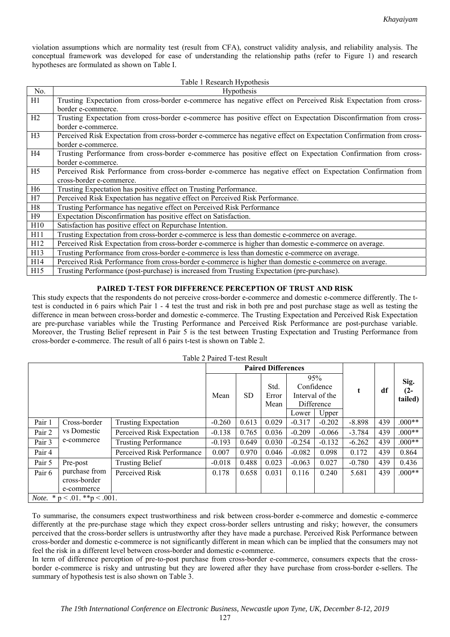violation assumptions which are normality test (result from CFA), construct validity analysis, and reliability analysis. The conceptual framework was developed for ease of understanding the relationship paths (refer to Figure 1) and research hypotheses are formulated as shown on Table I.

|                | Table 1 Research Hypothesis                                                                                         |
|----------------|---------------------------------------------------------------------------------------------------------------------|
| No.            | Hypothesis                                                                                                          |
| H1             | Trusting Expectation from cross-border e-commerce has negative effect on Perceived Risk Expectation from cross-     |
|                | border e-commerce.                                                                                                  |
| H2             | Trusting Expectation from cross-border e-commerce has positive effect on Expectation Disconfirmation from cross-    |
|                | border e-commerce.                                                                                                  |
| H3             | Perceived Risk Expectation from cross-border e-commerce has negative effect on Expectation Confirmation from cross- |
|                | border e-commerce.                                                                                                  |
| H <sub>4</sub> | Trusting Performance from cross-border e-commerce has positive effect on Expectation Confirmation from cross-       |
|                | border e-commerce.                                                                                                  |
| H <sub>5</sub> | Perceived Risk Performance from cross-border e-commerce has negative effect on Expectation Confirmation from        |
|                | cross-border e-commerce.                                                                                            |
| H <sub>6</sub> | Trusting Expectation has positive effect on Trusting Performance.                                                   |
| H7             | Perceived Risk Expectation has negative effect on Perceived Risk Performance.                                       |
| H8             | Trusting Performance has negative effect on Perceived Risk Performance                                              |
| H9             | Expectation Disconfirmation has positive effect on Satisfaction.                                                    |
| H10            | Satisfaction has positive effect on Repurchase Intention.                                                           |
| H11            | Trusting Expectation from cross-border e-commerce is less than domestic e-commerce on average.                      |
| H12            | Perceived Risk Expectation from cross-border e-commerce is higher than domestic e-commerce on average.              |
| H13            | Trusting Performance from cross-border e-commerce is less than domestic e-commerce on average.                      |
| H14            | Perceived Risk Performance from cross-border e-commerce is higher than domestic e-commerce on average.              |
| H15            | Trusting Performance (post-purchase) is increased from Trusting Expectation (pre-purchase).                         |

## **PAIRED T-TEST FOR DIFFERENCE PERCEPTION OF TRUST AND RISK**

This study expects that the respondents do not perceive cross-border e-commerce and domestic e-commerce differently. The ttest is conducted in 6 pairs which Pair 1 - 4 test the trust and risk in both pre and post purchase stage as well as testing the difference in mean between cross-border and domestic e-commerce. The Trusting Expectation and Perceived Risk Expectation are pre-purchase variables while the Trusting Performance and Perceived Risk Performance are post-purchase variable. Moreover, the Trusting Belief represent in Pair 5 is the test between Trusting Expectation and Trusting Performance from cross-border e-commerce. The result of all 6 pairs t-test is shown on Table 2.

| Table 2 Paired T-test Result |                               |                             |                           |           |       |          |                 |          |      |          |
|------------------------------|-------------------------------|-----------------------------|---------------------------|-----------|-------|----------|-----------------|----------|------|----------|
|                              |                               |                             | <b>Paired Differences</b> |           |       |          |                 |          |      |          |
|                              |                               |                             |                           |           | 95%   |          |                 |          | Sig. |          |
|                              |                               |                             |                           |           | Std.  |          | Confidence      | t        | df   | $(2 -$   |
|                              |                               |                             | Mean                      | <b>SD</b> | Error |          | Interval of the |          |      | tailed)  |
|                              |                               |                             |                           |           | Mean  |          | Difference      |          |      |          |
|                              |                               |                             |                           |           |       | Lower    | Upper           |          |      |          |
| Pair 1                       | Cross-border                  | <b>Trusting Expectation</b> | $-0.260$                  | 0.613     | 0.029 | $-0.317$ | $-0.202$        | $-8.898$ | 439  | $.000**$ |
| Pair 2                       | vs Domestic                   | Perceived Risk Expectation  | $-0.138$                  | 0.765     | 0.036 | $-0.209$ | $-0.066$        | $-3.784$ | 439  | $.000**$ |
| Pair 3                       | e-commerce                    | <b>Trusting Performance</b> | $-0.193$                  | 0.649     | 0.030 | $-0.254$ | $-0.132$        | $-6.262$ | 439  | $.000**$ |
| Pair 4                       |                               | Perceived Risk Performance  | 0.007                     | 0.970     | 0.046 | $-0.082$ | 0.098           | 0.172    | 439  | 0.864    |
| Pair 5                       | Pre-post                      | <b>Trusting Belief</b>      | $-0.018$                  | 0.488     | 0.023 | $-0.063$ | 0.027           | $-0.780$ | 439  | 0.436    |
| Pair 6                       | purchase from                 | Perceived Risk              | 0.178                     | 0.658     | 0.031 | 0.116    | 0.240           | 5.681    | 439  | $.000**$ |
|                              | cross-border                  |                             |                           |           |       |          |                 |          |      |          |
|                              | e-commerce                    |                             |                           |           |       |          |                 |          |      |          |
| Note.                        | * $p < .01$ . ** $p < .001$ . |                             |                           |           |       |          |                 |          |      |          |

# Table 2 Paired T-test Result

To summarise, the consumers expect trustworthiness and risk between cross-border e-commerce and domestic e-commerce differently at the pre-purchase stage which they expect cross-border sellers untrusting and risky; however, the consumers perceived that the cross-border sellers is untrustworthy after they have made a purchase. Perceived Risk Performance between cross-border and domestic e-commerce is not significantly different in mean which can be implied that the consumers may not feel the risk in a different level between cross-border and domestic e-commerce.

In term of difference perception of pre-to-post purchase from cross-border e-commerce, consumers expects that the crossborder e-commerce is risky and untrusting but they are lowered after they have purchase from cross-border e-sellers. The summary of hypothesis test is also shown on Table 3.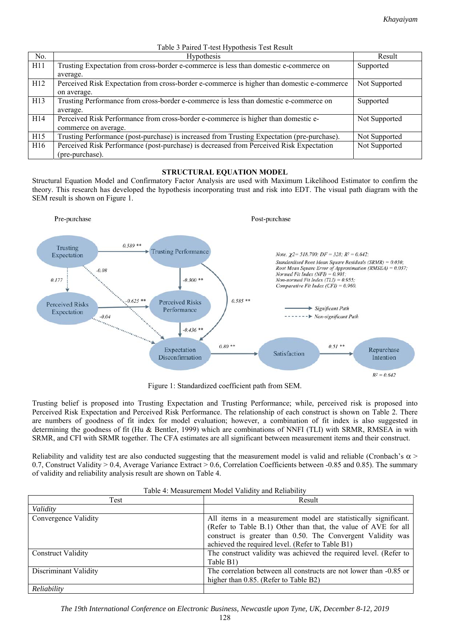|     | Table 5 Talled T test Hypothesis Test Result                                                |               |  |  |
|-----|---------------------------------------------------------------------------------------------|---------------|--|--|
| No. | <b>Hypothesis</b>                                                                           | Result        |  |  |
| H11 | Trusting Expectation from cross-border e-commerce is less than domestic e-commerce on       | Supported     |  |  |
|     | average.                                                                                    |               |  |  |
| H12 | Perceived Risk Expectation from cross-border e-commerce is higher than domestic e-commerce  | Not Supported |  |  |
|     | on average.                                                                                 |               |  |  |
| H13 | Trusting Performance from cross-border e-commerce is less than domestic e-commerce on       | Supported     |  |  |
|     | average.                                                                                    |               |  |  |
| H14 | Perceived Risk Performance from cross-border e-commerce is higher than domestic e-          | Not Supported |  |  |
|     | commerce on average.                                                                        |               |  |  |
| H15 | Trusting Performance (post-purchase) is increased from Trusting Expectation (pre-purchase). | Not Supported |  |  |
| H16 | Perceived Risk Performance (post-purchase) is decreased from Perceived Risk Expectation     | Not Supported |  |  |
|     | (pre-purchase).                                                                             |               |  |  |

## Table 3 Paired T-test Hypothesis Test Result

## **STRUCTURAL EQUATION MODEL**

Structural Equation Model and Confirmatory Factor Analysis are used with Maximum Likelihood Estimator to confirm the theory. This research has developed the hypothesis incorporating trust and risk into EDT. The visual path diagram with the SEM result is shown on Figure 1.



Figure 1: Standardized coefficient path from SEM.

Trusting belief is proposed into Trusting Expectation and Trusting Performance; while, perceived risk is proposed into Perceived Risk Expectation and Perceived Risk Performance. The relationship of each construct is shown on Table 2. There are numbers of goodness of fit index for model evaluation; however, a combination of fit index is also suggested in determining the goodness of fit (Hu & Bentler, 1999) which are combinations of NNFI (TLI) with SRMR, RMSEA in with SRMR, and CFI with SRMR together. The CFA estimates are all significant between measurement items and their construct.

Reliability and validity test are also conducted suggesting that the measurement model is valid and reliable (Cronbach's  $\alpha$  > 0.7, Construct Validity > 0.4, Average Variance Extract > 0.6, Correlation Coefficients between -0.85 and 0.85). The summary of validity and reliability analysis result are shown on Table 4.

| Test                      | Result                                                                                                                                                                                                                                               |  |  |
|---------------------------|------------------------------------------------------------------------------------------------------------------------------------------------------------------------------------------------------------------------------------------------------|--|--|
| Validity                  |                                                                                                                                                                                                                                                      |  |  |
| Convergence Validity      | All items in a measurement model are statistically significant.<br>(Refer to Table B.1) Other than that, the value of AVE for all<br>construct is greater than 0.50. The Convergent Validity was<br>achieved the required level. (Refer to Table B1) |  |  |
| <b>Construct Validity</b> | The construct validity was achieved the required level. (Refer to<br>Table B1)                                                                                                                                                                       |  |  |
| Discriminant Validity     | The correlation between all constructs are not lower than -0.85 or<br>higher than 0.85. (Refer to Table B2)                                                                                                                                          |  |  |
| Reliability               |                                                                                                                                                                                                                                                      |  |  |

Table 4: Measurement Model Validity and Reliability

*The 19th International Conference on Electronic Business, Newcastle upon Tyne, UK, December 8-12, 2019*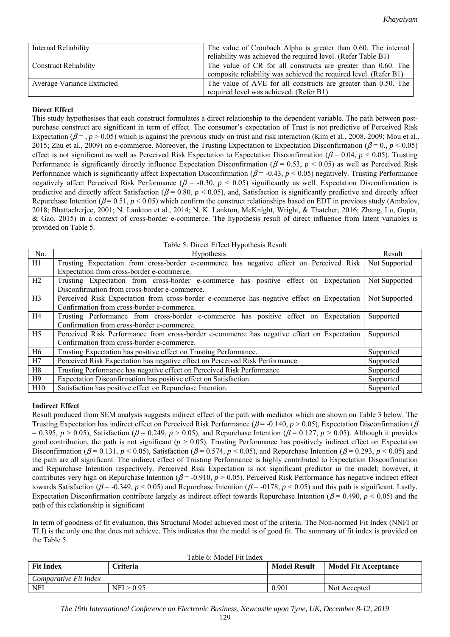| Internal Reliability         | The value of Cronbach Alpha is greater than 0.60. The internal<br>reliability was achieved the required level. (Refer Table B1)    |
|------------------------------|------------------------------------------------------------------------------------------------------------------------------------|
| <b>Construct Reliability</b> | The value of CR for all constructs are greater than 0.60. The<br>composite reliability was achieved the required level. (Refer B1) |
| Average Variance Extracted   | The value of AVE for all constructs are greater than 0.50. The<br>required level was achieved. (Refer B1)                          |

# **Direct Effect**

This study hypothesises that each construct formulates a direct relationship to the dependent variable. The path between postpurchase construct are significant in term of effect. The consumer's expectation of Trust is not predictive of Perceived Risk Expectation ( $\beta = 0.05$ ) which is against the previous study on trust and risk interaction (Kim et al., 2008, 2009; Mou et al., 2015; Zhu et al., 2009) on e-commerce. Moreover, the Trusting Expectation to Expectation Disconfirmation ( $\beta$  = 0.,  $p$  < 0.05) effect is not significant as well as Perceived Risk Expectation to Expectation Disconfirmation (β = 0.04, *p* < 0.05). Trusting Performance is significantly directly influence Expectation Disconfirmation ( $\beta$  = 0.53, *p* < 0.05) as well as Perceived Risk Performance which is significantly affect Expectation Disconfirmation ( $\beta$  = -0.43,  $p$  < 0.05) negatively. Trusting Performance negatively affect Perceived Risk Performance ( $\beta$  = -0.30,  $p$  < 0.05) significantly as well. Expectation Disconfirmation is predictive and directly affect Satisfaction ( $\beta$  = 0.80,  $p$  < 0.05), and, Satisfaction is significantly predictive and directly affect Repurchase Intention ( $\beta$  = 0.51, *p* < 0.05) which confirm the construct relationships based on EDT in previous study (Ambalov, 2018; Bhattacherjee, 2001; N. Lankton et al., 2014; N. K. Lankton, McKnight, Wright, & Thatcher, 2016; Zhang, Lu, Gupta, & Gao, 2015) in a context of cross-border e-commerce. The hypothesis result of direct influence from latent variables is provided on Table 5.

| Table 5: Direct Effect Hypothesis Result |  |  |  |
|------------------------------------------|--|--|--|
|                                          |  |  |  |

| No.            | Hypothesis                                                                                 | Result        |
|----------------|--------------------------------------------------------------------------------------------|---------------|
| H1             | Trusting Expectation from cross-border e-commerce has negative effect on Perceived Risk    | Not Supported |
|                | Expectation from cross-border e-commerce.                                                  |               |
| H2             | Trusting Expectation from cross-border e-commerce has positive effect on Expectation       | Not Supported |
|                | Disconfirmation from cross-border e-commerce.                                              |               |
| H <sub>3</sub> | Perceived Risk Expectation from cross-border e-commerce has negative effect on Expectation | Not Supported |
|                | Confirmation from cross-border e-commerce.                                                 |               |
| H4             | Trusting Performance from cross-border e-commerce has positive effect on Expectation       | Supported     |
|                | Confirmation from cross-border e-commerce.                                                 |               |
| H <sub>5</sub> | Perceived Risk Performance from cross-border e-commerce has negative effect on Expectation | Supported     |
|                | Confirmation from cross-border e-commerce.                                                 |               |
| H <sub>6</sub> | Trusting Expectation has positive effect on Trusting Performance.                          | Supported     |
| H7             | Perceived Risk Expectation has negative effect on Perceived Risk Performance.              | Supported     |
| H8             | Trusting Performance has negative effect on Perceived Risk Performance                     |               |
| H9             | Expectation Disconfirmation has positive effect on Satisfaction.                           | Supported     |
| H10            | Satisfaction has positive effect on Repurchase Intention.                                  | Supported     |

# **Indirect Effect**

Result produced from SEM analysis suggests indirect effect of the path with mediator which are shown on Table 3 below. The Trusting Expectation has indirect effect on Perceived Risk Performance ( $\beta$  = -0.140,  $p > 0.05$ ), Expectation Disconfirmation ( $\beta$  $(6.395, p > 0.05)$ , Satisfaction ( $\beta = 0.249, p > 0.05$ ), and Repurchase Intention ( $\beta = 0.127, p > 0.05$ ). Although it provides good contribution, the path is not significant ( $p > 0.05$ ). Trusting Performance has positively indirect effect on Expectation Disconfirmation ( $\beta$  = 0.131,  $p$  < 0.05), Satisfaction ( $\beta$  = 0.574,  $p$  < 0.05), and Repurchase Intention ( $\beta$  = 0.293,  $p$  < 0.05) and the path are all significant. The indirect effect of Trusting Performance is highly contributed to Expectation Disconfirmation and Repurchase Intention respectively. Perceived Risk Expectation is not significant predictor in the model; however, it contributes very high on Repurchase Intention ( $\beta$  = -0.910,  $p$  > 0.05). Perceived Risk Performance has negative indirect effect towards Satisfaction ( $\beta$  = -0.349,  $p$  < 0.05) and Repurchase Intention ( $\beta$  = -0178,  $p$  < 0.05) and this path is significant. Lastly, Expectation Disconfirmation contribute largely as indirect effect towards Repurchase Intention ( $\beta$  = 0.490,  $p$  < 0.05) and the path of this relationship is significant

In term of goodness of fit evaluation, this Structural Model achieved most of the criteria. The Non-normed Fit Index (NNFI or TLI) is the only one that does not achieve. This indicates that the model is of good fit. The summary of fit index is provided on the Table 5.

| Table 6: Model Fit Index |  |
|--------------------------|--|
|--------------------------|--|

| <b>Fit Index</b>      | <b>Criteria</b> | <b>Model Result</b> | <b>Model Fit Acceptance</b> |
|-----------------------|-----------------|---------------------|-----------------------------|
| Comparative Fit Index |                 |                     |                             |
| <b>NFI</b>            | NFI > 0.95      | 0.901               | Not Accepted                |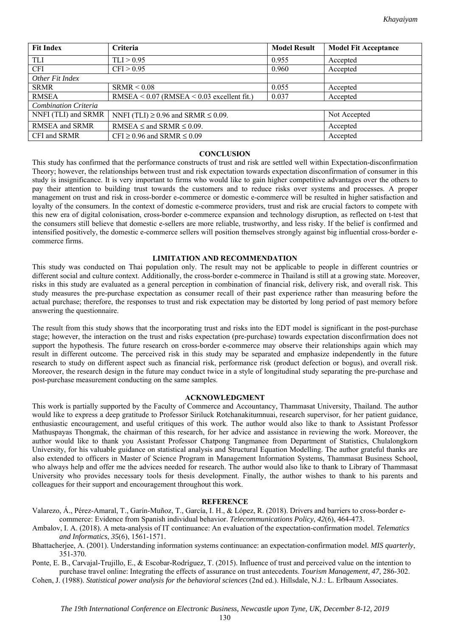| <b>Fit Index</b>                                                    | Criteria                                       | <b>Model Result</b> | <b>Model Fit Acceptance</b> |
|---------------------------------------------------------------------|------------------------------------------------|---------------------|-----------------------------|
| TLI                                                                 | TLI > 0.95                                     | 0.955               | Accepted                    |
| <b>CFI</b>                                                          | CFI > 0.95                                     | 0.960               | Accepted                    |
| Other Fit Index                                                     |                                                |                     |                             |
| <b>SRMR</b>                                                         | SRMR < 0.08                                    | 0.055               | Accepted                    |
| <b>RMSEA</b>                                                        | $RMSEA < 0.07$ (RMSEA $< 0.03$ excellent fit.) | 0.037               | Accepted                    |
| <b>Combination Criteria</b>                                         |                                                |                     |                             |
| NNFI (TLI) and SRMR<br>NNFI (TLI) $\geq$ 0.96 and SRMR $\leq$ 0.09. |                                                | Not Accepted        |                             |
| RMSEA and SRMR<br>RMSEA $\leq$ and SRMR $\leq$ 0.09.                |                                                |                     | Accepted                    |
| CFI and SRMR                                                        | CFI $\geq$ 0.96 and SRMR $\leq$ 0.09           |                     | Accepted                    |

### **CONCLUSION**

This study has confirmed that the performance constructs of trust and risk are settled well within Expectation-disconfirmation Theory; however, the relationships between trust and risk expectation towards expectation disconfirmation of consumer in this study is insignificance. It is very important to firms who would like to gain higher competitive advantages over the others to pay their attention to building trust towards the customers and to reduce risks over systems and processes. A proper management on trust and risk in cross-border e-commerce or domestic e-commerce will be resulted in higher satisfaction and loyalty of the consumers. In the context of domestic e-commerce providers, trust and risk are crucial factors to compete with this new era of digital colonisation, cross-border e-commerce expansion and technology disruption, as reflected on t-test that the consumers still believe that domestic e-sellers are more reliable, trustworthy, and less risky. If the belief is confirmed and intensified positively, the domestic e-commerce sellers will position themselves strongly against big influential cross-border ecommerce firms.

## **LIMITATION AND RECOMMENDATION**

This study was conducted on Thai population only. The result may not be applicable to people in different countries or different social and culture context. Additionally, the cross-border e-commerce in Thailand is still at a growing state. Moreover, risks in this study are evaluated as a general perception in combination of financial risk, delivery risk, and overall risk. This study measures the pre-purchase expectation as consumer recall of their past experience rather than measuring before the actual purchase; therefore, the responses to trust and risk expectation may be distorted by long period of past memory before answering the questionnaire.

The result from this study shows that the incorporating trust and risks into the EDT model is significant in the post-purchase stage; however, the interaction on the trust and risks expectation (pre-purchase) towards expectation disconfirmation does not support the hypothesis. The future research on cross-border e-commerce may observe their relationships again which may result in different outcome. The perceived risk in this study may be separated and emphasize independently in the future research to study on different aspect such as financial risk, performance risk (product defection or bogus), and overall risk. Moreover, the research design in the future may conduct twice in a style of longitudinal study separating the pre-purchase and post-purchase measurement conducting on the same samples.

### **ACKNOWLEDGMENT**

This work is partially supported by the Faculty of Commerce and Accountancy, Thammasat University, Thailand. The author would like to express a deep gratitude to Professor Siriluck Rotchanakitumnuai, research supervisor, for her patient guidance, enthusiastic encouragement, and useful critiques of this work. The author would also like to thank to Assistant Professor Mathuspayas Thongmak, the chairman of this research, for her advice and assistance in reviewing the work. Moreover, the author would like to thank you Assistant Professor Chatpong Tangmanee from Department of Statistics, Chulalongkorn University, for his valuable guidance on statistical analysis and Structural Equation Modelling. The author grateful thanks are also extended to officers in Master of Science Program in Management Information Systems, Thammasat Business School, who always help and offer me the advices needed for research. The author would also like to thank to Library of Thammasat University who provides necessary tools for thesis development. Finally, the author wishes to thank to his parents and colleagues for their support and encouragement throughout this work.

#### **REFERENCE**

- Valarezo, Á., Pérez-Amaral, T., Garín-Muñoz, T., García, I. H., & López, R. (2018). Drivers and barriers to cross-border ecommerce: Evidence from Spanish individual behavior. *Telecommunications Policy*, *42*(6), 464-473.
- Ambalov, I. A. (2018). A meta-analysis of IT continuance: An evaluation of the expectation-confirmation model. *Telematics and Informatics*, *35*(6), 1561-1571.
- Bhattacherjee, A. (2001). Understanding information systems continuance: an expectation-confirmation model. *MIS quarterly*, 351-370.

Ponte, E. B., Carvajal-Trujillo, E., & Escobar-Rodríguez, T. (2015). Influence of trust and perceived value on the intention to purchase travel online: Integrating the effects of assurance on trust antecedents. *Tourism Management*, *47*, 286-302.

Cohen, J. (1988). *Statistical power analysis for the behavioral sciences* (2nd ed.). Hillsdale, N.J.: L. Erlbaum Associates.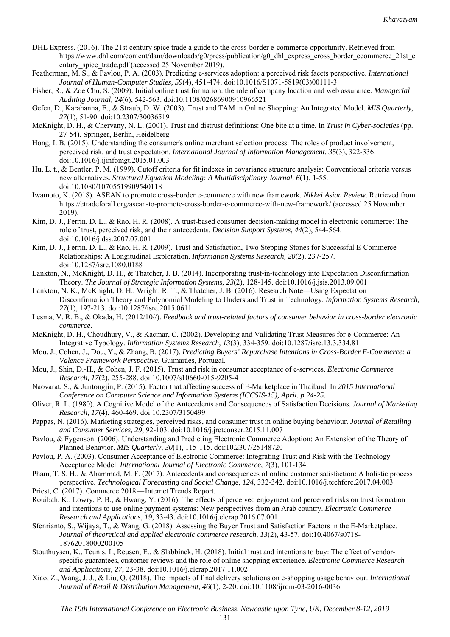- DHL Express. (2016). The 21st century spice trade a guide to the cross-border e-commerce opportunity. Retrieved from https://www.dhl.com/content/dam/downloads/g0/press/publication/g0\_dhl\_express\_cross\_border\_ecommerce\_21st\_c entury spice trade.pdf (accessed 25 November 2019).
- Featherman, M. S., & Pavlou, P. A. (2003). Predicting e-services adoption: a perceived risk facets perspective. *International Journal of Human-Computer Studies, 59*(4), 451-474. doi:10.1016/S1071-5819(03)00111-3
- Fisher, R., & Zoe Chu, S. (2009). Initial online trust formation: the role of company location and web assurance. *Managerial Auditing Journal, 24*(6), 542-563. doi:10.1108/02686900910966521
- Gefen, D., Karahanna, E., & Straub, D. W. (2003). Trust and TAM in Online Shopping: An Integrated Model. *MIS Quarterly, 27*(1), 51-90. doi:10.2307/30036519
- McKnight, D. H., & Chervany, N. L. (2001). Trust and distrust definitions: One bite at a time. In *Trust in Cyber-societies* (pp. 27-54). Springer, Berlin, Heidelberg
- Hong, I. B. (2015). Understanding the consumer's online merchant selection process: The roles of product involvement, perceived risk, and trust expectation. *International Journal of Information Management, 35*(3), 322-336. doi:10.1016/j.ijinfomgt.2015.01.003
- Hu, L. t., & Bentler, P. M. (1999). Cutoff criteria for fit indexes in covariance structure analysis: Conventional criteria versus new alternatives. *Structural Equation Modeling: A Multidisciplinary Journal, 6*(1), 1-55. doi:10.1080/10705519909540118
- Iwamoto, K. (2018). ASEAN to promote cross-border e-commerce with new framework. *Nikkei Asian Review*. Retrieved from https://etradeforall.org/asean-to-promote-cross-border-e-commerce-with-new-framework/ (accessed 25 November 2019).
- Kim, D. J., Ferrin, D. L., & Rao, H. R. (2008). A trust-based consumer decision-making model in electronic commerce: The role of trust, perceived risk, and their antecedents. *Decision Support Systems, 44*(2), 544-564. doi:10.1016/j.dss.2007.07.001
- Kim, D. J., Ferrin, D. L., & Rao, H. R. (2009). Trust and Satisfaction, Two Stepping Stones for Successful E-Commerce Relationships: A Longitudinal Exploration. *Information Systems Research, 20*(2), 237-257. doi:10.1287/isre.1080.0188
- Lankton, N., McKnight, D. H., & Thatcher, J. B. (2014). Incorporating trust-in-technology into Expectation Disconfirmation Theory. *The Journal of Strategic Information Systems, 23*(2), 128-145. doi:10.1016/j.jsis.2013.09.001
- Lankton, N. K., McKnight, D. H., Wright, R. T., & Thatcher, J. B. (2016). Research Note—Using Expectation Disconfirmation Theory and Polynomial Modeling to Understand Trust in Technology. *Information Systems Research, 27*(1), 197-213. doi:10.1287/isre.2015.0611
- Lesma, V. R. B., & Okada, H. (2012/10//). *Feedback and trust-related factors of consumer behavior in cross-border electronic commerce*.
- McKnight, D. H., Choudhury, V., & Kacmar, C. (2002). Developing and Validating Trust Measures for e-Commerce: An Integrative Typology. *Information Systems Research, 13*(3), 334-359. doi:10.1287/isre.13.3.334.81
- Mou, J., Cohen, J., Dou, Y., & Zhang, B. (2017). *Predicting Buyers' Repurchase Intentions in Cross-Border E-Commerce: a Valence Framework Perspective*, Guimarães, Portugal.
- Mou, J., Shin, D.-H., & Cohen, J. F. (2015). Trust and risk in consumer acceptance of e-services. *Electronic Commerce Research, 17*(2), 255-288. doi:10.1007/s10660-015-9205-4
- Naovarat, S., & Juntongjin, P. (2015). Factor that affecting success of E-Marketplace in Thailand. In *2015 International Conference on Computer Science and Information Systems (ICCSIS-15), April. p.24-25*.
- Oliver, R. L. (1980). A Cognitive Model of the Antecedents and Consequences of Satisfaction Decisions. *Journal of Marketing Research, 17*(4), 460-469. doi:10.2307/3150499
- Pappas, N. (2016). Marketing strategies, perceived risks, and consumer trust in online buying behaviour. *Journal of Retailing and Consumer Services, 29*, 92-103. doi:10.1016/j.jretconser.2015.11.007
- Pavlou, & Fygenson. (2006). Understanding and Predicting Electronic Commerce Adoption: An Extension of the Theory of Planned Behavior. *MIS Quarterly, 30*(1), 115-115. doi:10.2307/25148720
- Pavlou, P. A. (2003). Consumer Acceptance of Electronic Commerce: Integrating Trust and Risk with the Technology Acceptance Model. *International Journal of Electronic Commerce, 7*(3), 101-134.
- Pham, T. S. H., & Ahammad, M. F. (2017). Antecedents and consequences of online customer satisfaction: A holistic process perspective. *Technological Forecasting and Social Change, 124*, 332-342. doi:10.1016/j.techfore.2017.04.003
- Priest, C. (2017). Commerce 2018—Internet Trends Report.
- Rouibah, K., Lowry, P. B., & Hwang, Y. (2016). The effects of perceived enjoyment and perceived risks on trust formation and intentions to use online payment systems: New perspectives from an Arab country. *Electronic Commerce Research and Applications, 19*, 33-43. doi:10.1016/j.elerap.2016.07.001
- Sfenrianto, S., Wijaya, T., & Wang, G. (2018). Assessing the Buyer Trust and Satisfaction Factors in the E-Marketplace. *Journal of theoretical and applied electronic commerce research, 13*(2), 43-57. doi:10.4067/s0718- 18762018000200105
- Stouthuysen, K., Teunis, I., Reusen, E., & Slabbinck, H. (2018). Initial trust and intentions to buy: The effect of vendorspecific guarantees, customer reviews and the role of online shopping experience. *Electronic Commerce Research and Applications, 27*, 23-38. doi:10.1016/j.elerap.2017.11.002
- Xiao, Z., Wang, J. J., & Liu, Q. (2018). The impacts of final delivery solutions on e-shopping usage behaviour. *International Journal of Retail & Distribution Management, 46*(1), 2-20. doi:10.1108/ijrdm-03-2016-0036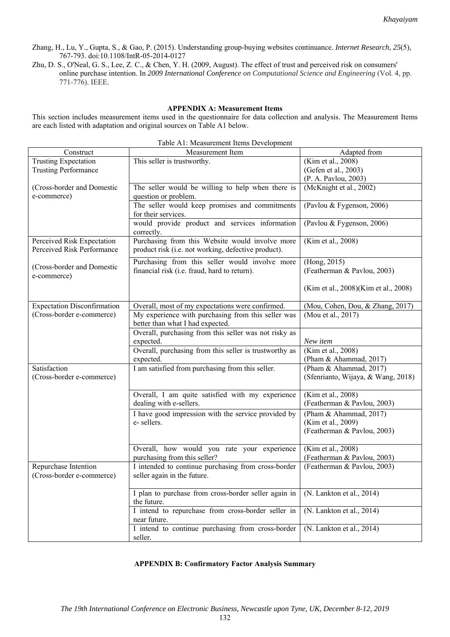- Zhang, H., Lu, Y., Gupta, S., & Gao, P. (2015). Understanding group-buying websites continuance. *Internet Research, 25*(5), 767-793. doi:10.1108/IntR-05-2014-0127
- Zhu, D. S., O'Neal, G. S., Lee, Z. C., & Chen, Y. H. (2009, August). The effect of trust and perceived risk on consumers' online purchase intention. In *2009 International Conference on Computational Science and Engineering* (Vol. 4, pp. 771-776). IEEE.

## **APPENDIX A: Measurement Items**

This section includes measurement items used in the questionnaire for data collection and analysis. The Measurement Items are each listed with adaptation and original sources on Table A1 below.

|                                    | raoic Art. Measurement nems Development                |                                      |
|------------------------------------|--------------------------------------------------------|--------------------------------------|
| Construct                          | Measurement Item                                       | Adapted from                         |
| <b>Trusting Expectation</b>        | This seller is trustworthy.                            | (Kim et al., 2008)                   |
| <b>Trusting Performance</b>        |                                                        | (Gefen et al., 2003)                 |
|                                    |                                                        | (P. A. Pavlou, 2003)                 |
| (Cross-border and Domestic         | The seller would be willing to help when there is      | (McKnight et al., 2002)              |
| e-commerce)                        | question or problem.                                   |                                      |
|                                    | The seller would keep promises and commitments         | (Pavlou & Fygenson, 2006)            |
|                                    | for their services.                                    |                                      |
|                                    |                                                        |                                      |
|                                    | would provide product and services information         | (Pavlou & Fygenson, 2006)            |
|                                    | correctly.                                             |                                      |
| Perceived Risk Expectation         | Purchasing from this Website would involve more        | (Kim et al., 2008)                   |
| Perceived Risk Performance         | product risk (i.e. not working, defective product).    |                                      |
|                                    | Purchasing from this seller would involve more         | (Hong, 2015)                         |
| (Cross-border and Domestic         | financial risk (i.e. fraud, hard to return).           | (Featherman & Pavlou, 2003)          |
| e-commerce)                        |                                                        |                                      |
|                                    |                                                        |                                      |
|                                    |                                                        | (Kim et al., 2008)(Kim et al., 2008) |
|                                    |                                                        |                                      |
| <b>Expectation Disconfirmation</b> | Overall, most of my expectations were confirmed.       | (Mou, Cohen, Dou, & Zhang, 2017)     |
| (Cross-border e-commerce)          | My experience with purchasing from this seller was     | (Mou et al., 2017)                   |
|                                    | better than what I had expected.                       |                                      |
|                                    | Overall, purchasing from this seller was not risky as  |                                      |
|                                    | expected.                                              | New item                             |
|                                    | Overall, purchasing from this seller is trustworthy as | (Kim et al., 2008)                   |
|                                    | expected.                                              | (Pham & Ahammad, 2017)               |
| Satisfaction                       | I am satisfied from purchasing from this seller.       | (Pham & Ahammad, 2017)               |
| (Cross-border e-commerce)          |                                                        | (Sfenrianto, Wijaya, & Wang, 2018)   |
|                                    |                                                        |                                      |
|                                    | Overall, I am quite satisfied with my experience       | (Kim et al., 2008)                   |
|                                    | dealing with e-sellers.                                | (Featherman & Pavlou, 2003)          |
|                                    |                                                        |                                      |
|                                    | I have good impression with the service provided by    | (Pham & Ahammad, 2017)               |
|                                    | e-sellers.                                             | (Kim et al., 2009)                   |
|                                    |                                                        | (Featherman & Pavlou, 2003)          |
|                                    |                                                        |                                      |
|                                    | Overall, how would you rate your experience            | (Kim et al., 2008)                   |
|                                    | purchasing from this seller?                           | (Featherman & Pavlou, 2003)          |
| Repurchase Intention               | I intended to continue purchasing from cross-border    | (Featherman & Pavlou, 2003)          |
| (Cross-border e-commerce)          | seller again in the future.                            |                                      |
|                                    |                                                        |                                      |
|                                    | I plan to purchase from cross-border seller again in   | (N. Lankton et al., 2014)            |
|                                    | the future.                                            |                                      |
|                                    | I intend to repurchase from cross-border seller in     | (N. Lankton et al., 2014)            |
|                                    | near future.                                           |                                      |
|                                    |                                                        |                                      |
|                                    | I intend to continue purchasing from cross-border      | (N. Lankton et al., 2014)            |
|                                    | seller.                                                |                                      |

#### Table A1: Measurement Items Development

## **APPENDIX B: Confirmatory Factor Analysis Summary**